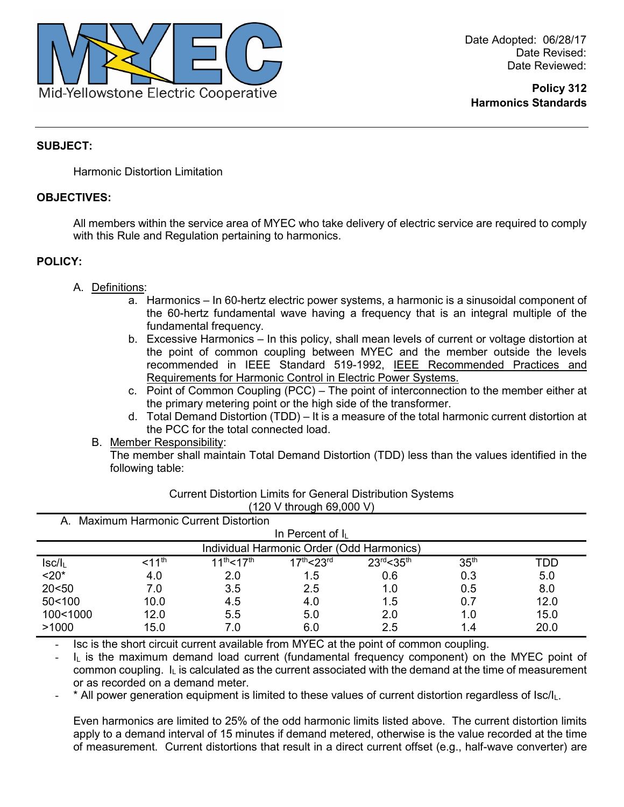

**Policy 312 Harmonics Standards**

# **SUBJECT:**

Harmonic Distortion Limitation

## **OBJECTIVES:**

All members within the service area of MYEC who take delivery of electric service are required to comply with this Rule and Regulation pertaining to harmonics.

## **POLICY:**

- A. Definitions:
	- a. Harmonics In 60-hertz electric power systems, a harmonic is a sinusoidal component of the 60-hertz fundamental wave having a frequency that is an integral multiple of the fundamental frequency.
	- b. Excessive Harmonics In this policy, shall mean levels of current or voltage distortion at the point of common coupling between MYEC and the member outside the levels recommended in IEEE Standard 519-1992, IEEE Recommended Practices and Requirements for Harmonic Control in Electric Power Systems.
	- c. Point of Common Coupling (PCC) The point of interconnection to the member either at the primary metering point or the high side of the transformer.
	- d. Total Demand Distortion (TDD) It is a measure of the total harmonic current distortion at the PCC for the total connected load.
	- B. Member Responsibility:

The member shall maintain Total Demand Distortion (TDD) less than the values identified in the following table:

| A. Maximum Harmonic Current Distortion    |                    |                       |                                     |                     |                  |      |
|-------------------------------------------|--------------------|-----------------------|-------------------------------------|---------------------|------------------|------|
| In Percent of $I_L$                       |                    |                       |                                     |                     |                  |      |
| Individual Harmonic Order (Odd Harmonics) |                    |                       |                                     |                     |                  |      |
| $ sc/l_L$                                 | < 11 <sup>th</sup> | $11^{th}$ < $17^{th}$ | 17 <sup>th</sup> < 23 <sup>rd</sup> | $23^{rd} < 35^{th}$ | 35 <sup>th</sup> | TDD  |
| $< 20*$                                   | 4.0                | 2.0                   | 1.5                                 | 0.6                 | 0.3              | 5.0  |
| 20< 50                                    | 7.0                | 3.5                   | 2.5                                 | 1.0                 | 0.5              | 8.0  |
| 50<100                                    | 10.0               | 4.5                   | 4.0                                 | 1.5                 | 0.7              | 12.0 |
| 100<1000                                  | 12.0               | 5.5                   | 5.0                                 | 2.0                 | 1.0              | 15.0 |
| >1000                                     | 15.0               | 7.0                   | 6.0                                 | 2.5                 | 1.4              | 20.0 |

Current Distortion Limits for General Distribution Systems (120 V through 69,000 V)

Isc is the short circuit current available from MYEC at the point of common coupling.

I<sub>L</sub> is the maximum demand load current (fundamental frequency component) on the MYEC point of common coupling.  $I_L$  is calculated as the current associated with the demand at the time of measurement or as recorded on a demand meter.

\* All power generation equipment is limited to these values of current distortion regardless of  $|sc/l_L|$ .

Even harmonics are limited to 25% of the odd harmonic limits listed above. The current distortion limits apply to a demand interval of 15 minutes if demand metered, otherwise is the value recorded at the time of measurement. Current distortions that result in a direct current offset (e.g., half-wave converter) are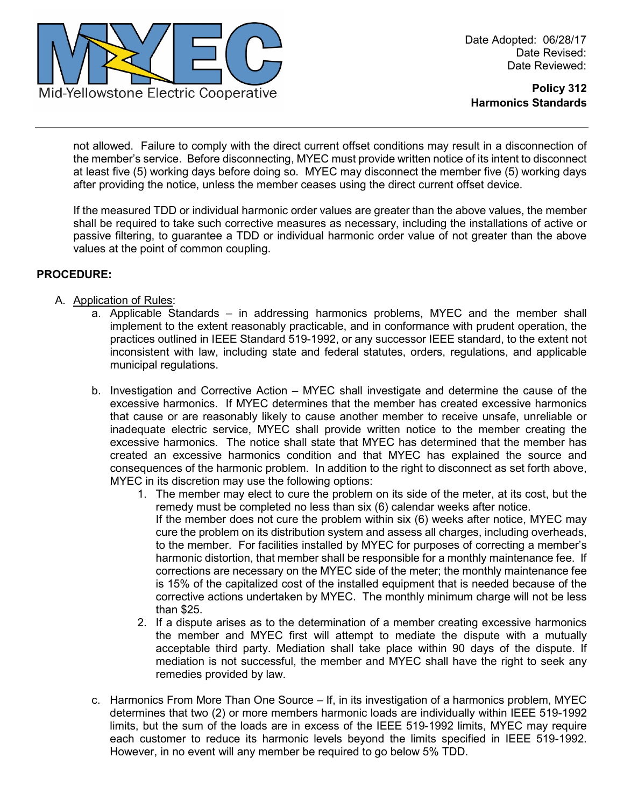

**Policy 312 Harmonics Standards**

not allowed. Failure to comply with the direct current offset conditions may result in a disconnection of the member's service. Before disconnecting, MYEC must provide written notice of its intent to disconnect at least five (5) working days before doing so. MYEC may disconnect the member five (5) working days after providing the notice, unless the member ceases using the direct current offset device.

If the measured TDD or individual harmonic order values are greater than the above values, the member shall be required to take such corrective measures as necessary, including the installations of active or passive filtering, to guarantee a TDD or individual harmonic order value of not greater than the above values at the point of common coupling.

## **PROCEDURE:**

- A. Application of Rules:
	- a. Applicable Standards in addressing harmonics problems, MYEC and the member shall implement to the extent reasonably practicable, and in conformance with prudent operation, the practices outlined in IEEE Standard 519-1992, or any successor IEEE standard, to the extent not inconsistent with law, including state and federal statutes, orders, regulations, and applicable municipal regulations.
	- b. Investigation and Corrective Action MYEC shall investigate and determine the cause of the excessive harmonics. If MYEC determines that the member has created excessive harmonics that cause or are reasonably likely to cause another member to receive unsafe, unreliable or inadequate electric service, MYEC shall provide written notice to the member creating the excessive harmonics. The notice shall state that MYEC has determined that the member has created an excessive harmonics condition and that MYEC has explained the source and consequences of the harmonic problem. In addition to the right to disconnect as set forth above, MYEC in its discretion may use the following options:
		- 1. The member may elect to cure the problem on its side of the meter, at its cost, but the remedy must be completed no less than six (6) calendar weeks after notice. If the member does not cure the problem within six (6) weeks after notice, MYEC may cure the problem on its distribution system and assess all charges, including overheads, to the member. For facilities installed by MYEC for purposes of correcting a member's harmonic distortion, that member shall be responsible for a monthly maintenance fee. If corrections are necessary on the MYEC side of the meter; the monthly maintenance fee is 15% of the capitalized cost of the installed equipment that is needed because of the corrective actions undertaken by MYEC. The monthly minimum charge will not be less than \$25.
		- 2. If a dispute arises as to the determination of a member creating excessive harmonics the member and MYEC first will attempt to mediate the dispute with a mutually acceptable third party. Mediation shall take place within 90 days of the dispute. If mediation is not successful, the member and MYEC shall have the right to seek any remedies provided by law.
	- c. Harmonics From More Than One Source If, in its investigation of a harmonics problem, MYEC determines that two (2) or more members harmonic loads are individually within IEEE 519-1992 limits, but the sum of the loads are in excess of the IEEE 519-1992 limits, MYEC may require each customer to reduce its harmonic levels beyond the limits specified in IEEE 519-1992. However, in no event will any member be required to go below 5% TDD.